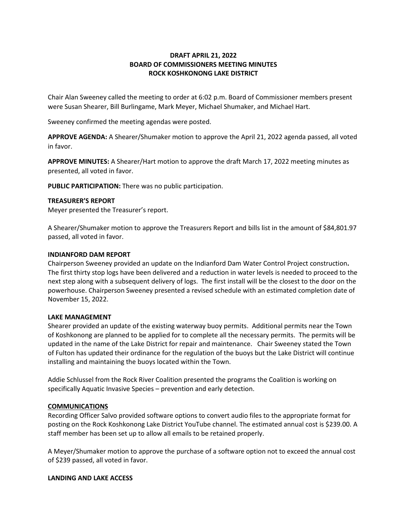# **DRAFT APRIL 21, 2022 BOARD OF COMMISSIONERS MEETING MINUTES ROCK KOSHKONONG LAKE DISTRICT**

Chair Alan Sweeney called the meeting to order at 6:02 p.m. Board of Commissioner members present were Susan Shearer, Bill Burlingame, Mark Meyer, Michael Shumaker, and Michael Hart.

Sweeney confirmed the meeting agendas were posted.

**APPROVE AGENDA:** A Shearer/Shumaker motion to approve the April 21, 2022 agenda passed, all voted in favor.

**APPROVE MINUTES:** A Shearer/Hart motion to approve the draft March 17, 2022 meeting minutes as presented, all voted in favor.

**PUBLIC PARTICIPATION:** There was no public participation.

## **TREASURER'S REPORT**

Meyer presented the Treasurer's report.

A Shearer/Shumaker motion to approve the Treasurers Report and bills list in the amount of \$84,801.97 passed, all voted in favor.

#### **INDIANFORD DAM REPORT**

Chairperson Sweeney provided an update on the Indianford Dam Water Control Project construction**.**  The first thirty stop logs have been delivered and a reduction in water levels is needed to proceed to the next step along with a subsequent delivery of logs. The first install will be the closest to the door on the powerhouse. Chairperson Sweeney presented a revised schedule with an estimated completion date of November 15, 2022.

#### **LAKE MANAGEMENT**

Shearer provided an update of the existing waterway buoy permits. Additional permits near the Town of Koshkonong are planned to be applied for to complete all the necessary permits. The permits will be updated in the name of the Lake District for repair and maintenance. Chair Sweeney stated the Town of Fulton has updated their ordinance for the regulation of the buoys but the Lake District will continue installing and maintaining the buoys located within the Town.

Addie Schlussel from the Rock River Coalition presented the programs the Coalition is working on specifically Aquatic Invasive Species – prevention and early detection.

## **COMMUNICATIONS**

Recording Officer Salvo provided software options to convert audio files to the appropriate format for posting on the Rock Koshkonong Lake District YouTube channel. The estimated annual cost is \$239.00. A staff member has been set up to allow all emails to be retained properly.

A Meyer/Shumaker motion to approve the purchase of a software option not to exceed the annual cost of \$239 passed, all voted in favor.

#### **LANDING AND LAKE ACCESS**